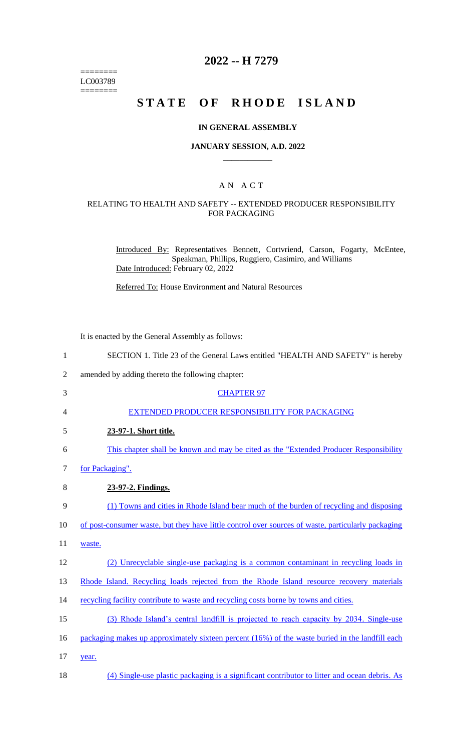======== LC003789  $=$ 

# **2022 -- H 7279**

# **STATE OF RHODE ISLAND**

#### **IN GENERAL ASSEMBLY**

#### **JANUARY SESSION, A.D. 2022 \_\_\_\_\_\_\_\_\_\_\_\_**

#### A N A C T

### RELATING TO HEALTH AND SAFETY -- EXTENDED PRODUCER RESPONSIBILITY FOR PACKAGING

Introduced By: Representatives Bennett, Cortvriend, Carson, Fogarty, McEntee, Speakman, Phillips, Ruggiero, Casimiro, and Williams Date Introduced: February 02, 2022

Referred To: House Environment and Natural Resources

It is enacted by the General Assembly as follows:

| $\mathbf{1}$   | SECTION 1. Title 23 of the General Laws entitled "HEALTH AND SAFETY" is hereby                     |
|----------------|----------------------------------------------------------------------------------------------------|
| $\overline{2}$ | amended by adding thereto the following chapter:                                                   |
| 3              | <b>CHAPTER 97</b>                                                                                  |
| 4              | EXTENDED PRODUCER RESPONSIBILITY FOR PACKAGING                                                     |
| 5              | 23-97-1. Short title.                                                                              |
| 6              | This chapter shall be known and may be cited as the "Extended Producer Responsibility"             |
| 7              | for Packaging".                                                                                    |
| 8              | 23-97-2. Findings.                                                                                 |
| 9              | (1) Towns and cities in Rhode Island bear much of the burden of recycling and disposing            |
| 10             | of post-consumer waste, but they have little control over sources of waste, particularly packaging |
| 11             | waste.                                                                                             |
| 12             | (2) Unrecyclable single-use packaging is a common contaminant in recycling loads in                |
| 13             | Rhode Island. Recycling loads rejected from the Rhode Island resource recovery materials           |
| 14             | recycling facility contribute to waste and recycling costs borne by towns and cities.              |
| 15             | (3) Rhode Island's central landfill is projected to reach capacity by 2034. Single-use             |
| 16             | packaging makes up approximately sixteen percent (16%) of the waste buried in the landfill each    |
| 17             | year.                                                                                              |
| 18             | (4) Single-use plastic packaging is a significant contributor to litter and ocean debris. As       |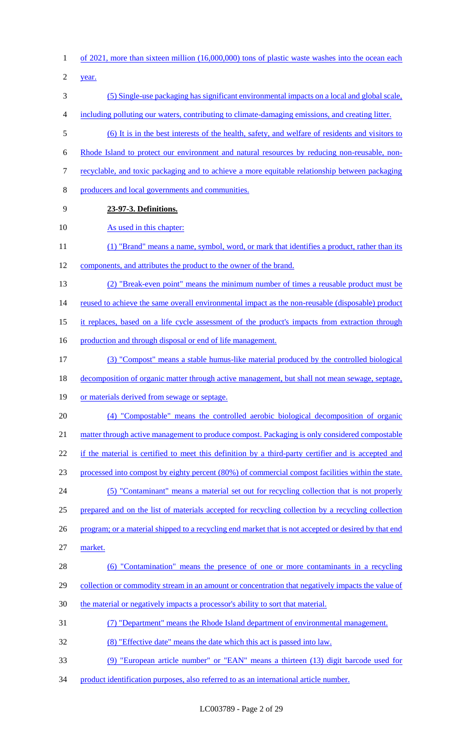of 2021, more than sixteen million (16,000,000) tons of plastic waste washes into the ocean each

year.

- (5) Single-use packaging has significant environmental impacts on a local and global scale,
- including polluting our waters, contributing to climate-damaging emissions, and creating litter.
- (6) It is in the best interests of the health, safety, and welfare of residents and visitors to
- Rhode Island to protect our environment and natural resources by reducing non-reusable, non-
- recyclable, and toxic packaging and to achieve a more equitable relationship between packaging
- producers and local governments and communities.
- **23-97-3. Definitions.**

#### 10 As used in this chapter:

- 11 (1) "Brand" means a name, symbol, word, or mark that identifies a product, rather than its components, and attributes the product to the owner of the brand.
- (2) "Break-even point" means the minimum number of times a reusable product must be

14 reused to achieve the same overall environmental impact as the non-reusable (disposable) product

- it replaces, based on a life cycle assessment of the product's impacts from extraction through
- 16 production and through disposal or end of life management.
- (3) "Compost" means a stable humus-like material produced by the controlled biological
- decomposition of organic matter through active management, but shall not mean sewage, septage,
- or materials derived from sewage or septage.
- (4) "Compostable" means the controlled aerobic biological decomposition of organic 21 matter through active management to produce compost. Packaging is only considered compostable

22 if the material is certified to meet this definition by a third-party certifier and is accepted and

processed into compost by eighty percent (80%) of commercial compost facilities within the state.

(5) "Contaminant" means a material set out for recycling collection that is not properly

prepared and on the list of materials accepted for recycling collection by a recycling collection

- 26 program; or a material shipped to a recycling end market that is not accepted or desired by that end market.
- (6) "Contamination" means the presence of one or more contaminants in a recycling 29 collection or commodity stream in an amount or concentration that negatively impacts the value of
- 30 the material or negatively impacts a processor's ability to sort that material.
- (7) "Department" means the Rhode Island department of environmental management.
- (8) "Effective date" means the date which this act is passed into law.
- (9) "European article number" or "EAN" means a thirteen (13) digit barcode used for
- product identification purposes, also referred to as an international article number.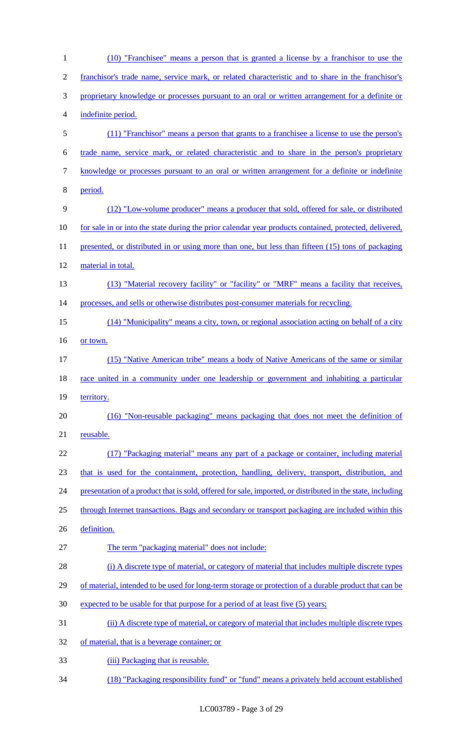| $\mathbf{1}$     | (10) "Franchisee" means a person that is granted a license by a franchisor to use the                      |
|------------------|------------------------------------------------------------------------------------------------------------|
| $\overline{2}$   | franchisor's trade name, service mark, or related characteristic and to share in the franchisor's          |
| 3                | proprietary knowledge or processes pursuant to an oral or written arrangement for a definite or            |
| $\overline{4}$   | indefinite period.                                                                                         |
| 5                | (11) "Franchisor" means a person that grants to a franchisee a license to use the person's                 |
| 6                | trade name, service mark, or related characteristic and to share in the person's proprietary               |
| $\boldsymbol{7}$ | knowledge or processes pursuant to an oral or written arrangement for a definite or indefinite             |
| 8                | period.                                                                                                    |
| $\mathbf{9}$     | (12) "Low-volume producer" means a producer that sold, offered for sale, or distributed                    |
| 10               | for sale in or into the state during the prior calendar year products contained, protected, delivered,     |
| 11               | presented, or distributed in or using more than one, but less than fifteen (15) tons of packaging          |
| 12               | material in total.                                                                                         |
| 13               | (13) "Material recovery facility" or "facility" or "MRF" means a facility that receives,                   |
| 14               | processes, and sells or otherwise distributes post-consumer materials for recycling.                       |
| 15               | (14) "Municipality" means a city, town, or regional association acting on behalf of a city                 |
| 16               | or town.                                                                                                   |
| 17               | (15) "Native American tribe" means a body of Native Americans of the same or similar                       |
| 18               | race united in a community under one leadership or government and inhabiting a particular                  |
| 19               | territory.                                                                                                 |
| 20               | (16) "Non-reusable packaging" means packaging that does not meet the definition of                         |
| 21               | reusable.                                                                                                  |
| 22               | (17) "Packaging material" means any part of a package or container, including material                     |
| 23               | that is used for the containment, protection, handling, delivery, transport, distribution, and             |
| 24               | presentation of a product that is sold, offered for sale, imported, or distributed in the state, including |
| 25               | through Internet transactions. Bags and secondary or transport packaging are included within this          |
| 26               | definition.                                                                                                |
| 27               | The term "packaging material" does not include:                                                            |
| 28               | (i) A discrete type of material, or category of material that includes multiple discrete types             |
| 29               | of material, intended to be used for long-term storage or protection of a durable product that can be      |
| 30               | expected to be usable for that purpose for a period of at least five (5) years;                            |
| 31               | (ii) A discrete type of material, or category of material that includes multiple discrete types            |
| 32               | of material, that is a beverage container; or                                                              |
| 33               | (iii) Packaging that is reusable.                                                                          |
| 34               | (18) "Packaging responsibility fund" or "fund" means a privately held account established                  |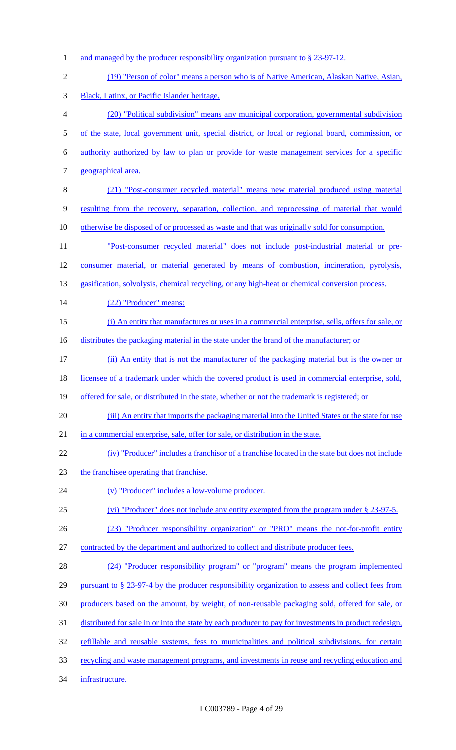1 and managed by the producer responsibility organization pursuant to § 23-97-12. (19) "Person of color" means a person who is of Native American, Alaskan Native, Asian, Black, Latinx, or Pacific Islander heritage. (20) "Political subdivision" means any municipal corporation, governmental subdivision 5 of the state, local government unit, special district, or local or regional board, commission, or authority authorized by law to plan or provide for waste management services for a specific geographical area. (21) "Post-consumer recycled material" means new material produced using material resulting from the recovery, separation, collection, and reprocessing of material that would 10 otherwise be disposed of or processed as waste and that was originally sold for consumption. "Post-consumer recycled material" does not include post-industrial material or pre- consumer material, or material generated by means of combustion, incineration, pyrolysis, 13 gasification, solvolysis, chemical recycling, or any high-heat or chemical conversion process. 14 (22) "Producer" means: (i) An entity that manufactures or uses in a commercial enterprise, sells, offers for sale, or 16 distributes the packaging material in the state under the brand of the manufacturer; or (ii) An entity that is not the manufacturer of the packaging material but is the owner or 18 licensee of a trademark under which the covered product is used in commercial enterprise, sold, 19 offered for sale, or distributed in the state, whether or not the trademark is registered; or (iii) An entity that imports the packaging material into the United States or the state for use in a commercial enterprise, sale, offer for sale, or distribution in the state. (iv) "Producer" includes a franchisor of a franchise located in the state but does not include the franchisee operating that franchise. (v) "Producer" includes a low-volume producer. (vi) "Producer" does not include any entity exempted from the program under § 23-97-5. (23) "Producer responsibility organization" or "PRO" means the not-for-profit entity contracted by the department and authorized to collect and distribute producer fees. (24) "Producer responsibility program" or "program" means the program implemented 29 pursuant to § 23-97-4 by the producer responsibility organization to assess and collect fees from producers based on the amount, by weight, of non-reusable packaging sold, offered for sale, or distributed for sale in or into the state by each producer to pay for investments in product redesign, refillable and reusable systems, fess to municipalities and political subdivisions, for certain recycling and waste management programs, and investments in reuse and recycling education and infrastructure.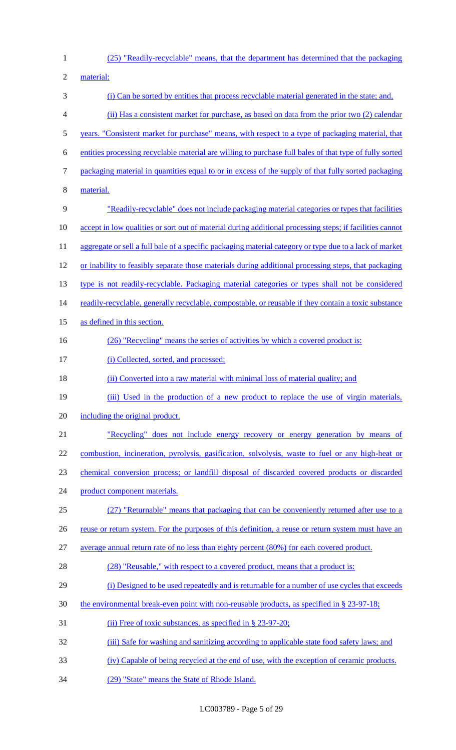- (25) "Readily-recyclable" means, that the department has determined that the packaging material: (i) Can be sorted by entities that process recyclable material generated in the state; and, (ii) Has a consistent market for purchase, as based on data from the prior two (2) calendar years. "Consistent market for purchase" means, with respect to a type of packaging material, that entities processing recyclable material are willing to purchase full bales of that type of fully sorted packaging material in quantities equal to or in excess of the supply of that fully sorted packaging material. "Readily-recyclable" does not include packaging material categories or types that facilities accept in low qualities or sort out of material during additional processing steps; if facilities cannot 11 aggregate or sell a full bale of a specific packaging material category or type due to a lack of market or inability to feasibly separate those materials during additional processing steps, that packaging type is not readily-recyclable. Packaging material categories or types shall not be considered 14 readily-recyclable, generally recyclable, compostable, or reusable if they contain a toxic substance as defined in this section. 16 (26) "Recycling" means the series of activities by which a covered product is: 17 (i) Collected, sorted, and processed; 18 (ii) Converted into a raw material with minimal loss of material quality; and 19 (iii) Used in the production of a new product to replace the use of virgin materials, including the original product. "Recycling" does not include energy recovery or energy generation by means of combustion, incineration, pyrolysis, gasification, solvolysis, waste to fuel or any high-heat or chemical conversion process; or landfill disposal of discarded covered products or discarded product component materials. (27) "Returnable" means that packaging that can be conveniently returned after use to a 26 reuse or return system. For the purposes of this definition, a reuse or return system must have an average annual return rate of no less than eighty percent (80%) for each covered product. 28 (28) "Reusable," with respect to a covered product, means that a product is: (i) Designed to be used repeatedly and is returnable for a number of use cycles that exceeds the environmental break-even point with non-reusable products, as specified in § 23-97-18; 31 (ii) Free of toxic substances, as specified in § 23-97-20; 32 (iii) Safe for washing and sanitizing according to applicable state food safety laws; and (iv) Capable of being recycled at the end of use, with the exception of ceramic products.
- (29) "State" means the State of Rhode Island.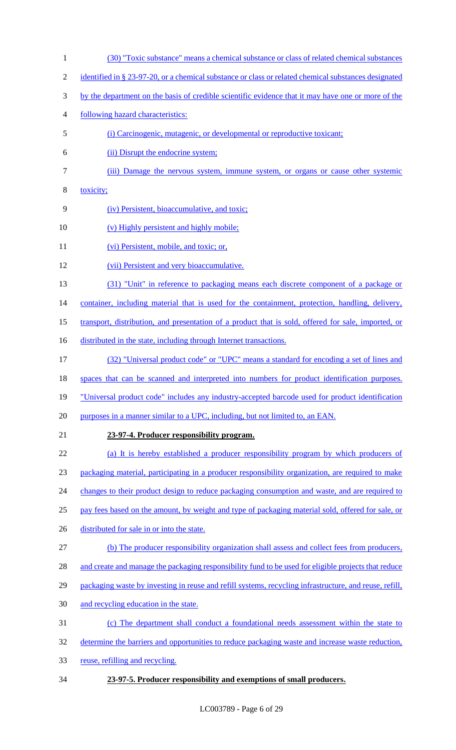- (30) "Toxic substance" means a chemical substance or class of related chemical substances
- 2 identified in § 23-97-20, or a chemical substance or class or related chemical substances designated
- by the department on the basis of credible scientific evidence that it may have one or more of the
- following hazard characteristics:
- (i) Carcinogenic, mutagenic, or developmental or reproductive toxicant;
- (ii) Disrupt the endocrine system;
- (iii) Damage the nervous system, immune system, or organs or cause other systemic
- toxicity;
- (iv) Persistent, bioaccumulative, and toxic;
- 10 (v) Highly persistent and highly mobile;
- 11 (vi) Persistent, mobile, and toxic; or,
- (vii) Persistent and very bioaccumulative.
- (31) "Unit" in reference to packaging means each discrete component of a package or

14 container, including material that is used for the containment, protection, handling, delivery,

- transport, distribution, and presentation of a product that is sold, offered for sale, imported, or
- 16 distributed in the state, including through Internet transactions.
- (32) "Universal product code" or "UPC" means a standard for encoding a set of lines and
- spaces that can be scanned and interpreted into numbers for product identification purposes.
- "Universal product code" includes any industry-accepted barcode used for product identification
- 20 purposes in a manner similar to a UPC, including, but not limited to, an EAN.
- 

#### **23-97-4. Producer responsibility program.**

(a) It is hereby established a producer responsibility program by which producers of

packaging material, participating in a producer responsibility organization, are required to make

- 24 changes to their product design to reduce packaging consumption and waste, and are required to
- pay fees based on the amount, by weight and type of packaging material sold, offered for sale, or
- 26 distributed for sale in or into the state.
- (b) The producer responsibility organization shall assess and collect fees from producers,
- 28 and create and manage the packaging responsibility fund to be used for eligible projects that reduce
- 29 packaging waste by investing in reuse and refill systems, recycling infrastructure, and reuse, refill,
- and recycling education in the state.
- (c) The department shall conduct a foundational needs assessment within the state to
- 32 determine the barriers and opportunities to reduce packaging waste and increase waste reduction,
- reuse, refilling and recycling.
- **23-97-5. Producer responsibility and exemptions of small producers.**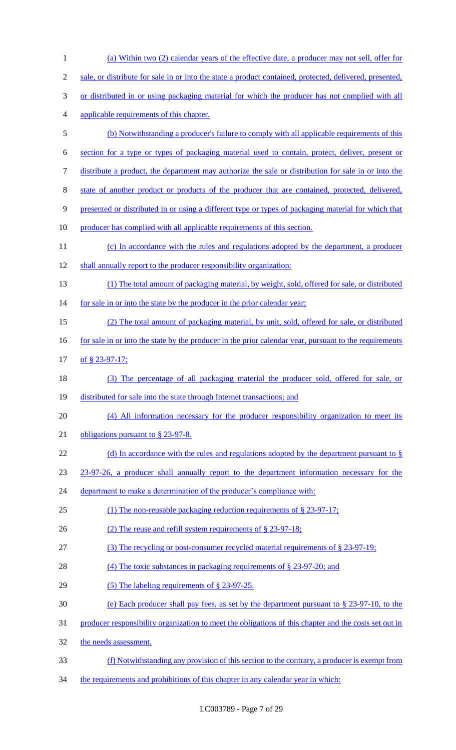| $\mathbf{1}$   | (a) Within two (2) calendar years of the effective date, a producer may not sell, offer for             |
|----------------|---------------------------------------------------------------------------------------------------------|
| $\mathfrak{2}$ | sale, or distribute for sale in or into the state a product contained, protected, delivered, presented, |
| 3              | or distributed in or using packaging material for which the producer has not complied with all          |
| $\overline{4}$ | applicable requirements of this chapter.                                                                |
| 5              | (b) Notwithstanding a producer's failure to comply with all applicable requirements of this             |
| 6              | section for a type or types of packaging material used to contain, protect, deliver, present or         |
| 7              | distribute a product, the department may authorize the sale or distribution for sale in or into the     |
| $8\,$          | state of another product or products of the producer that are contained, protected, delivered,          |
| $\mathbf{9}$   | presented or distributed in or using a different type or types of packaging material for which that     |
| 10             | producer has complied with all applicable requirements of this section.                                 |
| 11             | (c) In accordance with the rules and regulations adopted by the department, a producer                  |
| 12             | shall annually report to the producer responsibility organization:                                      |
| 13             | (1) The total amount of packaging material, by weight, sold, offered for sale, or distributed           |
| 14             | for sale in or into the state by the producer in the prior calendar year;                               |
| 15             | (2) The total amount of packaging material, by unit, sold, offered for sale, or distributed             |
| 16             | for sale in or into the state by the producer in the prior calendar year, pursuant to the requirements  |
| 17             | of § 23-97-17;                                                                                          |
| 18             | (3) The percentage of all packaging material the producer sold, offered for sale, or                    |
| 19             | distributed for sale into the state through Internet transactions; and                                  |
| 20             | (4) All information necessary for the producer responsibility organization to meet its                  |
| 21             | obligations pursuant to $\S$ 23-97-8.                                                                   |
| 22             | (d) In accordance with the rules and regulations adopted by the department pursuant to $\S$             |
| 23             | 23-97-26, a producer shall annually report to the department information necessary for the              |
| 24             | department to make a determination of the producer's compliance with:                                   |
| 25             | (1) The non-reusable packaging reduction requirements of $\S$ 23-97-17;                                 |
| 26             | (2) The reuse and refill system requirements of § 23-97-18;                                             |
| 27             | (3) The recycling or post-consumer recycled material requirements of $\S 23-97-19$ ;                    |
| 28             | (4) The toxic substances in packaging requirements of $\S$ 23-97-20; and                                |
| 29             | (5) The labeling requirements of $\S$ 23-97-25.                                                         |
| 30             | (e) Each producer shall pay fees, as set by the department pursuant to $\S 23-97-10$ , to the           |
| 31             | producer responsibility organization to meet the obligations of this chapter and the costs set out in   |
| 32             | the needs assessment.                                                                                   |
| 33             | (f) Notwithstanding any provision of this section to the contrary, a producer is exempt from            |
| 34             | the requirements and prohibitions of this chapter in any calendar year in which:                        |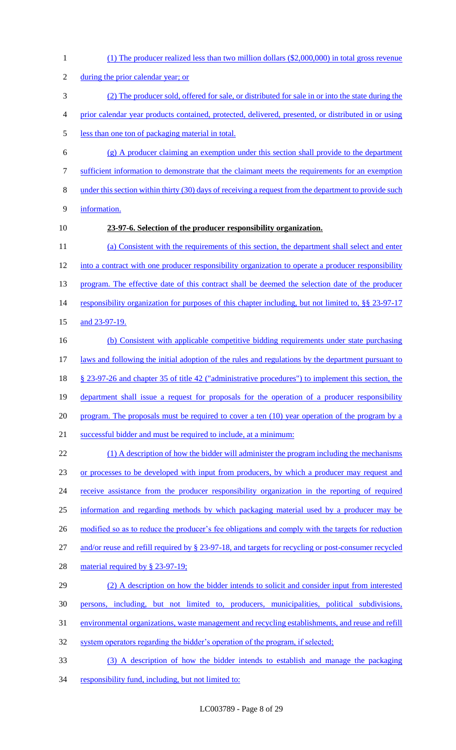(1) The producer realized less than two million dollars (\$2,000,000) in total gross revenue 2 during the prior calendar year; or (2) The producer sold, offered for sale, or distributed for sale in or into the state during the prior calendar year products contained, protected, delivered, presented, or distributed in or using less than one ton of packaging material in total. (g) A producer claiming an exemption under this section shall provide to the department sufficient information to demonstrate that the claimant meets the requirements for an exemption under this section within thirty (30) days of receiving a request from the department to provide such information. **23-97-6. Selection of the producer responsibility organization.** (a) Consistent with the requirements of this section, the department shall select and enter into a contract with one producer responsibility organization to operate a producer responsibility 13 program. The effective date of this contract shall be deemed the selection date of the producer 14 responsibility organization for purposes of this chapter including, but not limited to, §§ 23-97-17 15 and 23-97-19. (b) Consistent with applicable competitive bidding requirements under state purchasing 17 laws and following the initial adoption of the rules and regulations by the department pursuant to § 23-97-26 and chapter 35 of title 42 ("administrative procedures") to implement this section, the department shall issue a request for proposals for the operation of a producer responsibility 20 program. The proposals must be required to cover a ten (10) year operation of the program by a successful bidder and must be required to include, at a minimum: 22 (1) A description of how the bidder will administer the program including the mechanisms 23 or processes to be developed with input from producers, by which a producer may request and 24 receive assistance from the producer responsibility organization in the reporting of required information and regarding methods by which packaging material used by a producer may be 26 modified so as to reduce the producer's fee obligations and comply with the targets for reduction and/or reuse and refill required by § 23-97-18, and targets for recycling or post-consumer recycled 28 material required by § 23-97-19; (2) A description on how the bidder intends to solicit and consider input from interested persons, including, but not limited to, producers, municipalities, political subdivisions, environmental organizations, waste management and recycling establishments, and reuse and refill 32 system operators regarding the bidder's operation of the program, if selected; (3) A description of how the bidder intends to establish and manage the packaging 34 responsibility fund, including, but not limited to: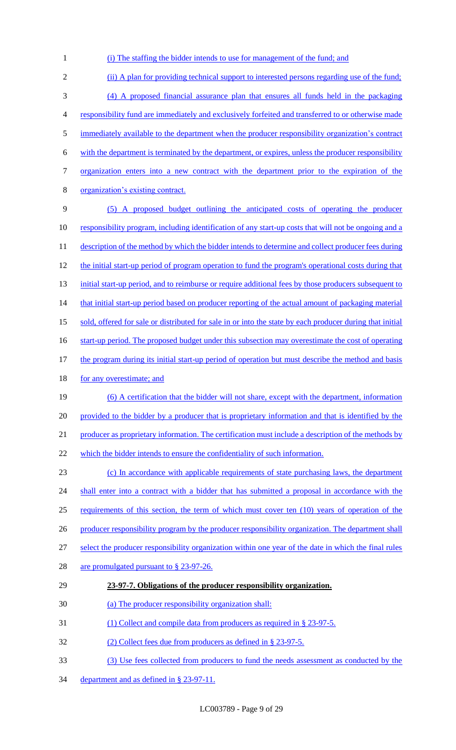1 (i) The staffing the bidder intends to use for management of the fund; and

2 (ii) A plan for providing technical support to interested persons regarding use of the fund; 3 (4) A proposed financial assurance plan that ensures all funds held in the packaging 4 responsibility fund are immediately and exclusively forfeited and transferred to or otherwise made 5 immediately available to the department when the producer responsibility organization's contract 6 with the department is terminated by the department, or expires, unless the producer responsibility 7 organization enters into a new contract with the department prior to the expiration of the 8 organization's existing contract. 9 (5) A proposed budget outlining the anticipated costs of operating the producer 10 responsibility program, including identification of any start-up costs that will not be ongoing and a 11 description of the method by which the bidder intends to determine and collect producer fees during 12 the initial start-up period of program operation to fund the program's operational costs during that 13 initial start-up period, and to reimburse or require additional fees by those producers subsequent to 14 that initial start-up period based on producer reporting of the actual amount of packaging material 15 sold, offered for sale or distributed for sale in or into the state by each producer during that initial 16 start-up period. The proposed budget under this subsection may overestimate the cost of operating 17 the program during its initial start-up period of operation but must describe the method and basis 18 for any overestimate; and 19 (6) A certification that the bidder will not share, except with the department, information 20 provided to the bidder by a producer that is proprietary information and that is identified by the 21 producer as proprietary information. The certification must include a description of the methods by 22 which the bidder intends to ensure the confidentiality of such information. 23 (c) In accordance with applicable requirements of state purchasing laws, the department 24 shall enter into a contract with a bidder that has submitted a proposal in accordance with the 25 requirements of this section, the term of which must cover ten (10) years of operation of the 26 producer responsibility program by the producer responsibility organization. The department shall 27 select the producer responsibility organization within one year of the date in which the final rules 28 are promulgated pursuant to § 23-97-26. 29 **23-97-7. Obligations of the producer responsibility organization.**  30 (a) The producer responsibility organization shall: 31 (1) Collect and compile data from producers as required in § 23-97-5. 32 (2) Collect fees due from producers as defined in § 23-97-5. 33 (3) Use fees collected from producers to fund the needs assessment as conducted by the

34 department and as defined in § 23-97-11.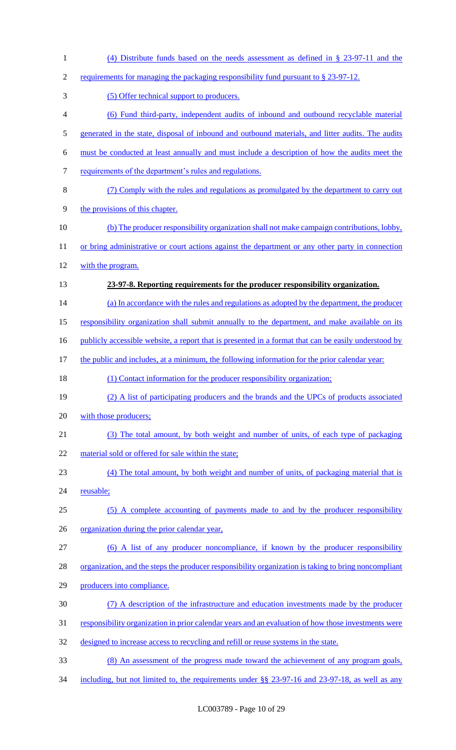| $\mathbf{1}$     | (4) Distribute funds based on the needs assessment as defined in $\S$ 23-97-11 and the               |
|------------------|------------------------------------------------------------------------------------------------------|
| $\mathfrak{2}$   | requirements for managing the packaging responsibility fund pursuant to § 23-97-12.                  |
| 3                | (5) Offer technical support to producers.                                                            |
| $\overline{4}$   | (6) Fund third-party, independent audits of inbound and outbound recyclable material                 |
| 5                | generated in the state, disposal of inbound and outbound materials, and litter audits. The audits    |
| 6                | must be conducted at least annually and must include a description of how the audits meet the        |
| $\boldsymbol{7}$ | requirements of the department's rules and regulations.                                              |
| $8\,$            | (7) Comply with the rules and regulations as promulgated by the department to carry out              |
| $\mathbf{9}$     | the provisions of this chapter.                                                                      |
| 10               | (b) The producer responsibility organization shall not make campaign contributions, lobby,           |
| 11               | or bring administrative or court actions against the department or any other party in connection     |
| 12               | with the program.                                                                                    |
| 13               | 23-97-8. Reporting requirements for the producer responsibility organization.                        |
| 14               | (a) In accordance with the rules and regulations as adopted by the department, the producer          |
| 15               | responsibility organization shall submit annually to the department, and make available on its       |
| 16               | publicly accessible website, a report that is presented in a format that can be easily understood by |
| 17               | the public and includes, at a minimum, the following information for the prior calendar year:        |
| 18               | (1) Contact information for the producer responsibility organization;                                |
| 19               | (2) A list of participating producers and the brands and the UPCs of products associated             |
| 20               | with those producers;                                                                                |
| 21               | (3) The total amount, by both weight and number of units, of each type of packaging                  |
| 22               | material sold or offered for sale within the state;                                                  |
| 23               | (4) The total amount, by both weight and number of units, of packaging material that is              |
| 24               | reusable;                                                                                            |
| 25               | (5) A complete accounting of payments made to and by the producer responsibility                     |
| 26               | organization during the prior calendar year,                                                         |
| 27               | (6) A list of any producer noncompliance, if known by the producer responsibility                    |
| 28               | organization, and the steps the producer responsibility organization is taking to bring noncompliant |
| 29               | producers into compliance.                                                                           |
| 30               | (7) A description of the infrastructure and education investments made by the producer               |
| 31               | responsibility organization in prior calendar years and an evaluation of how those investments were  |
| 32               | designed to increase access to recycling and refill or reuse systems in the state.                   |
| 33               | (8) An assessment of the progress made toward the achievement of any program goals,                  |
| 34               | including, but not limited to, the requirements under $\S$ 23-97-16 and 23-97-18, as well as any     |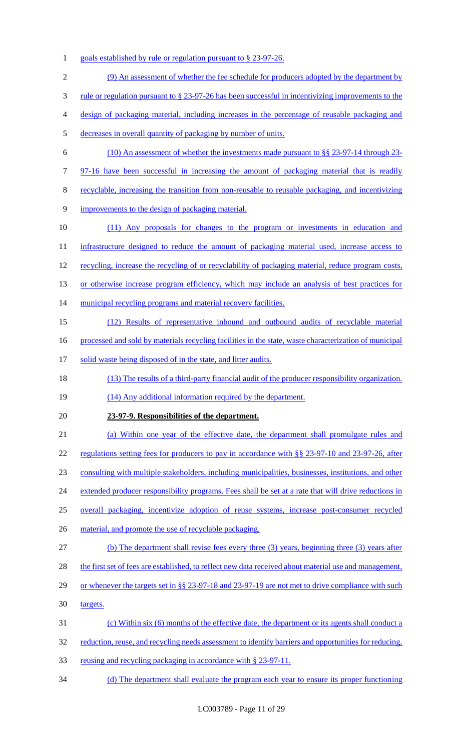1 goals established by rule or regulation pursuant to § 23-97-26.

| $\mathfrak{2}$ | (9) An assessment of whether the fee schedule for producers adopted by the department by                                |
|----------------|-------------------------------------------------------------------------------------------------------------------------|
| 3              | <u>rule or regulation pursuant to <math>\S</math> 23-97-26 has been successful in incentivizing improvements to the</u> |
| 4              | design of packaging material, including increases in the percentage of reusable packaging and                           |
| 5              | decreases in overall quantity of packaging by number of units.                                                          |
| 6              | $(10)$ An assessment of whether the investments made pursuant to §§ 23-97-14 through 23-                                |
| 7              | 97-16 have been successful in increasing the amount of packaging material that is readily                               |
| 8              | recyclable, increasing the transition from non-reusable to reusable packaging, and incentivizing                        |
| 9              | improvements to the design of packaging material.                                                                       |
| 10             | (11) Any proposals for changes to the program or investments in education and                                           |
| 11             | infrastructure designed to reduce the amount of packaging material used, increase access to                             |
| 12             | recycling, increase the recycling of or recyclability of packaging material, reduce program costs,                      |
| 13             | or otherwise increase program efficiency, which may include an analysis of best practices for                           |
| 14             | municipal recycling programs and material recovery facilities.                                                          |
| 15             | (12) Results of representative inbound and outbound audits of recyclable material                                       |
| 16             | processed and sold by materials recycling facilities in the state, waste characterization of municipal                  |
| 17             | solid waste being disposed of in the state, and litter audits.                                                          |
| 18             | (13) The results of a third-party financial audit of the producer responsibility organization.                          |
| 19             | (14) Any additional information required by the department.                                                             |
| 20             | 23-97-9. Responsibilities of the department.                                                                            |
| 21             | (a) Within one year of the effective date, the department shall promulgate rules and                                    |
| 22             | regulations setting fees for producers to pay in accordance with §§ 23-97-10 and 23-97-26, after                        |
| 23             | consulting with multiple stakeholders, including municipalities, businesses, institutions, and other                    |
| 24             | extended producer responsibility programs. Fees shall be set at a rate that will drive reductions in                    |
| 25             | overall packaging, incentivize adoption of reuse systems, increase post-consumer recycled                               |
| 26             | material, and promote the use of recyclable packaging.                                                                  |
| 27             | (b) The department shall revise fees every three (3) years, beginning three (3) years after                             |
| 28             | the first set of fees are established, to reflect new data received about material use and management,                  |
| 29             | or whenever the targets set in §§ 23-97-18 and 23-97-19 are not met to drive compliance with such                       |
| 30             | targets.                                                                                                                |
| 31             | (c) Within six (6) months of the effective date, the department or its agents shall conduct a                           |
| 32             | reduction, reuse, and recycling needs assessment to identify barriers and opportunities for reducing,                   |
| 33             | reusing and recycling packaging in accordance with § 23-97-11.                                                          |
| 34             | (d) The department shall evaluate the program each year to ensure its proper functioning                                |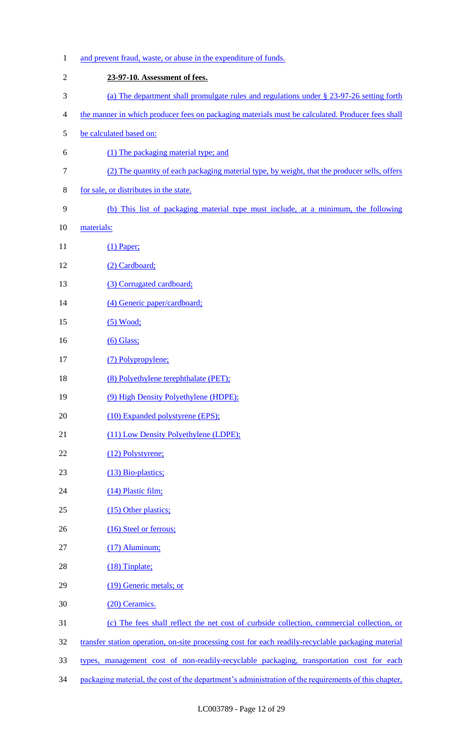| $\mathbf{1}$   | and prevent fraud, waste, or abuse in the expenditure of funds.                                      |
|----------------|------------------------------------------------------------------------------------------------------|
| $\mathfrak{2}$ | 23-97-10. Assessment of fees.                                                                        |
| 3              | (a) The department shall promulgate rules and regulations under § 23-97-26 setting forth             |
| 4              | the manner in which producer fees on packaging materials must be calculated. Producer fees shall     |
| 5              | be calculated based on:                                                                              |
| 6              | (1) The packaging material type; and                                                                 |
| $\tau$         | (2) The quantity of each packaging material type, by weight, that the producer sells, offers         |
| 8              | for sale, or distributes in the state.                                                               |
| 9              | (b) This list of packaging material type must include, at a minimum, the following                   |
| 10             | materials:                                                                                           |
| 11             | $(1)$ Paper;                                                                                         |
| 12             | (2) Cardboard;                                                                                       |
| 13             | (3) Corrugated cardboard;                                                                            |
| 14             | (4) Generic paper/cardboard;                                                                         |
| 15             | $(5)$ Wood;                                                                                          |
| 16             | $(6)$ Glass;                                                                                         |
| 17             | (7) Polypropylene;                                                                                   |
| 18             | (8) Polyethylene terephthalate (PET);                                                                |
| 19             | (9) High Density Polyethylene (HDPE);                                                                |
| 20             | (10) Expanded polystyrene (EPS);                                                                     |
| 21             | (11) Low Density Polyethylene (LDPE);                                                                |
| 22             | (12) Polystyrene;                                                                                    |
| 23             | (13) Bio-plastics;                                                                                   |
| 24             | (14) Plastic film;                                                                                   |
| 25             | (15) Other plastics;                                                                                 |
| 26             | (16) Steel or ferrous;                                                                               |
| 27             | $(17)$ Aluminum;                                                                                     |
| 28             | $(18)$ Tinplate;                                                                                     |
| 29             | (19) Generic metals; or                                                                              |
| 30             | (20) Ceramics.                                                                                       |
| 31             | (c) The fees shall reflect the net cost of curbside collection, commercial collection, or            |
| 32             | transfer station operation, on-site processing cost for each readily-recyclable packaging material   |
| 33             | types, management cost of non-readily-recyclable packaging, transportation cost for each             |
| 34             | packaging material, the cost of the department's administration of the requirements of this chapter, |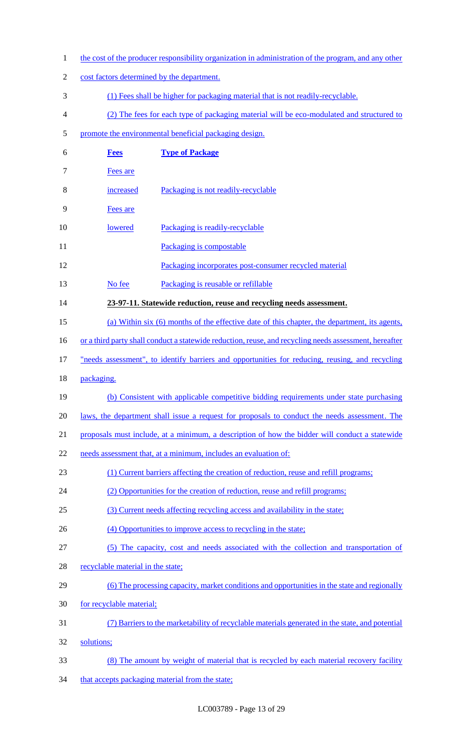1 the cost of the producer responsibility organization in administration of the program, and any other 2 cost factors determined by the department. (1) Fees shall be higher for packaging material that is not readily-recyclable. (2) The fees for each type of packaging material will be eco-modulated and structured to promote the environmental beneficial packaging design. **Fees Type of Package** Fees are increased Packaging is not readily-recyclable Fees are 10 lowered Packaging is readily-recyclable 11 Packaging is compostable Packaging incorporates post-consumer recycled material 13 No fee Packaging is reusable or refillable **23-97-11. Statewide reduction, reuse and recycling needs assessment.**  (a) Within six (6) months of the effective date of this chapter, the department, its agents, 16 or a third party shall conduct a statewide reduction, reuse, and recycling needs assessment, hereafter 17 "needs assessment", to identify barriers and opportunities for reducing, reusing, and recycling packaging. (b) Consistent with applicable competitive bidding requirements under state purchasing 20 laws, the department shall issue a request for proposals to conduct the needs assessment. The proposals must include, at a minimum, a description of how the bidder will conduct a statewide 22 needs assessment that, at a minimum, includes an evaluation of: (1) Current barriers affecting the creation of reduction, reuse and refill programs; (2) Opportunities for the creation of reduction, reuse and refill programs; (3) Current needs affecting recycling access and availability in the state; 26 (4) Opportunities to improve access to recycling in the state; (5) The capacity, cost and needs associated with the collection and transportation of 28 recyclable material in the state; 29 (6) The processing capacity, market conditions and opportunities in the state and regionally for recyclable material; (7) Barriers to the marketability of recyclable materials generated in the state, and potential solutions; (8) The amount by weight of material that is recycled by each material recovery facility 34 that accepts packaging material from the state;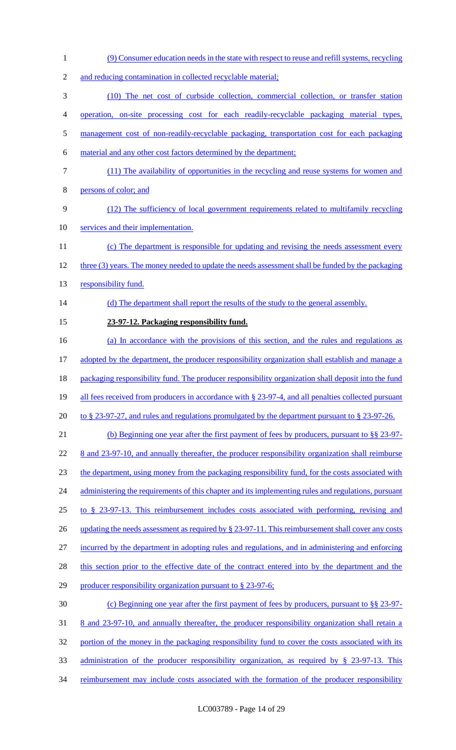1 (9) Consumer education needs in the state with respect to reuse and refill systems, recycling 2 and reducing contamination in collected recyclable material; 3 (10) The net cost of curbside collection, commercial collection, or transfer station 4 operation, on-site processing cost for each readily-recyclable packaging material types, 5 management cost of non-readily-recyclable packaging, transportation cost for each packaging 6 material and any other cost factors determined by the department; 7 (11) The availability of opportunities in the recycling and reuse systems for women and 8 persons of color; and 9 (12) The sufficiency of local government requirements related to multifamily recycling 10 services and their implementation. 11 (c) The department is responsible for updating and revising the needs assessment every 12 three (3) years. The money needed to update the needs assessment shall be funded by the packaging 13 responsibility fund. 14 (d) The department shall report the results of the study to the general assembly. 15 **23-97-12. Packaging responsibility fund.**  16 (a) In accordance with the provisions of this section, and the rules and regulations as 17 adopted by the department, the producer responsibility organization shall establish and manage a 18 packaging responsibility fund. The producer responsibility organization shall deposit into the fund 19 all fees received from producers in accordance with § 23-97-4, and all penalties collected pursuant 20 to § 23-97-27, and rules and regulations promulgated by the department pursuant to § 23-97-26. 21 (b) Beginning one year after the first payment of fees by producers, pursuant to §§ 23-97- 22 8 and 23-97-10, and annually thereafter, the producer responsibility organization shall reimburse 23 the department, using money from the packaging responsibility fund, for the costs associated with 24 administering the requirements of this chapter and its implementing rules and regulations, pursuant 25 to § 23-97-13. This reimbursement includes costs associated with performing, revising and 26 updating the needs assessment as required by § 23-97-11. This reimbursement shall cover any costs 27 incurred by the department in adopting rules and regulations, and in administering and enforcing 28 this section prior to the effective date of the contract entered into by the department and the 29 producer responsibility organization pursuant to § 23-97-6; 30 (c) Beginning one year after the first payment of fees by producers, pursuant to §§ 23-97- 31 8 and 23-97-10, and annually thereafter, the producer responsibility organization shall retain a 32 portion of the money in the packaging responsibility fund to cover the costs associated with its 33 administration of the producer responsibility organization, as required by § 23-97-13. This 34 reimbursement may include costs associated with the formation of the producer responsibility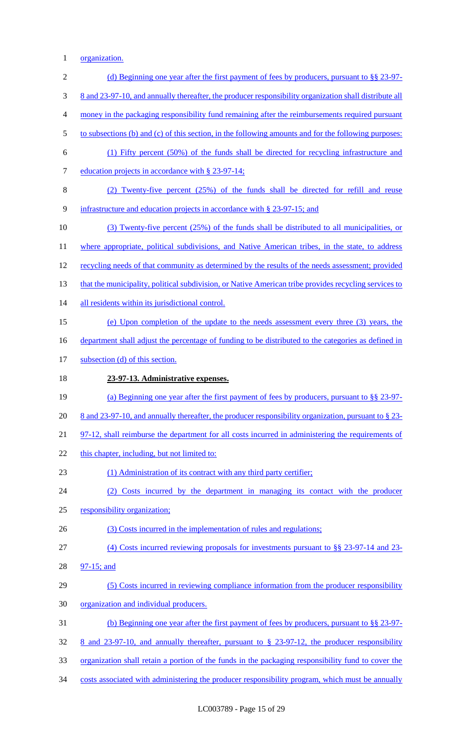1 organization.

| $\mathbf{2}$     | (d) Beginning one year after the first payment of fees by producers, pursuant to $\S$ 23-97-           |
|------------------|--------------------------------------------------------------------------------------------------------|
| 3                | 8 and 23-97-10, and annually thereafter, the producer responsibility organization shall distribute all |
| $\overline{4}$   | money in the packaging responsibility fund remaining after the reimbursements required pursuant        |
| 5                | to subsections (b) and (c) of this section, in the following amounts and for the following purposes:   |
| 6                | (1) Fifty percent (50%) of the funds shall be directed for recycling infrastructure and                |
| $\boldsymbol{7}$ | education projects in accordance with § 23-97-14;                                                      |
| $8\,$            | (2) Twenty-five percent (25%) of the funds shall be directed for refill and reuse                      |
| 9                | infrastructure and education projects in accordance with § 23-97-15; and                               |
| 10               | (3) Twenty-five percent (25%) of the funds shall be distributed to all municipalities, or              |
| 11               | where appropriate, political subdivisions, and Native American tribes, in the state, to address        |
| 12               | recycling needs of that community as determined by the results of the needs assessment; provided       |
| 13               | that the municipality, political subdivision, or Native American tribe provides recycling services to  |
| 14               | all residents within its jurisdictional control.                                                       |
| 15               | (e) Upon completion of the update to the needs assessment every three (3) years, the                   |
| 16               | department shall adjust the percentage of funding to be distributed to the categories as defined in    |
| 17               | subsection (d) of this section.                                                                        |
| 18               | 23-97-13. Administrative expenses.                                                                     |
| 19               | (a) Beginning one year after the first payment of fees by producers, pursuant to $\S$ 23-97-           |
| 20               | 8 and 23-97-10, and annually thereafter, the producer responsibility organization, pursuant to § 23-   |
| 21               | 97-12, shall reimburse the department for all costs incurred in administering the requirements of      |
| 22               | this chapter, including, but not limited to:                                                           |
| 23               | (1) Administration of its contract with any third party certifier;                                     |
| 24               | Costs incurred by the department in managing its contact with the producer<br>(2)                      |
| 25               | responsibility organization;                                                                           |
| 26               | (3) Costs incurred in the implementation of rules and regulations;                                     |
| 27               | (4) Costs incurred reviewing proposals for investments pursuant to $\S$ § 23-97-14 and 23-             |
| 28               | 97-15; and                                                                                             |
| 29               | (5) Costs incurred in reviewing compliance information from the producer responsibility                |
| 30               | organization and individual producers.                                                                 |
| 31               | (b) Beginning one year after the first payment of fees by producers, pursuant to §§ 23-97-             |
| 32               | 8 and 23-97-10, and annually thereafter, pursuant to $\S$ 23-97-12, the producer responsibility        |
| 33               | organization shall retain a portion of the funds in the packaging responsibility fund to cover the     |
| 34               | costs associated with administering the producer responsibility program, which must be annually        |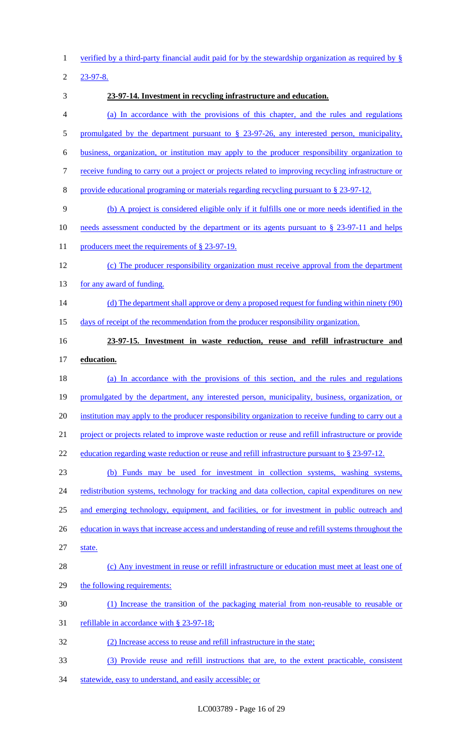verified by a third-party financial audit paid for by the stewardship organization as required by §

23-97-8.

- **23-97-14. Investment in recycling infrastructure and education.**  (a) In accordance with the provisions of this chapter, and the rules and regulations 5 promulgated by the department pursuant to § 23-97-26, any interested person, municipality, business, organization, or institution may apply to the producer responsibility organization to receive funding to carry out a project or projects related to improving recycling infrastructure or provide educational programing or materials regarding recycling pursuant to § 23-97-12. (b) A project is considered eligible only if it fulfills one or more needs identified in the 10 needs assessment conducted by the department or its agents pursuant to § 23-97-11 and helps 11 producers meet the requirements of § 23-97-19. (c) The producer responsibility organization must receive approval from the department 13 for any award of funding. 14 (d) The department shall approve or deny a proposed request for funding within ninety (90) days of receipt of the recommendation from the producer responsibility organization. **23-97-15. Investment in waste reduction, reuse and refill infrastructure and education.**  (a) In accordance with the provisions of this section, and the rules and regulations 19 promulgated by the department, any interested person, municipality, business, organization, or 20 institution may apply to the producer responsibility organization to receive funding to carry out a project or projects related to improve waste reduction or reuse and refill infrastructure or provide 22 education regarding waste reduction or reuse and refill infrastructure pursuant to § 23-97-12. (b) Funds may be used for investment in collection systems, washing systems, 24 redistribution systems, technology for tracking and data collection, capital expenditures on new 25 and emerging technology, equipment, and facilities, or for investment in public outreach and 26 education in ways that increase access and understanding of reuse and refill systems throughout the state. (c) Any investment in reuse or refill infrastructure or education must meet at least one of 29 the following requirements: (1) Increase the transition of the packaging material from non-reusable to reusable or refillable in accordance with § 23-97-18; (2) Increase access to reuse and refill infrastructure in the state; (3) Provide reuse and refill instructions that are, to the extent practicable, consistent
- statewide, easy to understand, and easily accessible; or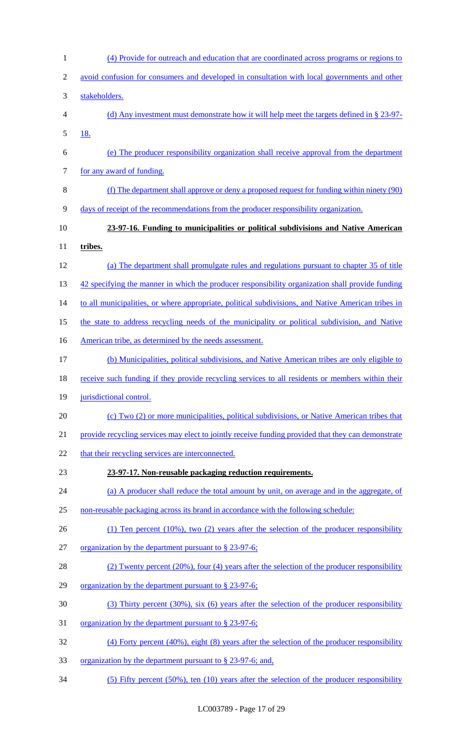| $\mathbf{1}$   | (4) Provide for outreach and education that are coordinated across programs or regions to           |
|----------------|-----------------------------------------------------------------------------------------------------|
| $\overline{2}$ | avoid confusion for consumers and developed in consultation with local governments and other        |
| 3              | stakeholders.                                                                                       |
| $\overline{4}$ | (d) Any investment must demonstrate how it will help meet the targets defined in $\S 23-97$ .       |
| 5              | <u>18.</u>                                                                                          |
| 6              | (e) The producer responsibility organization shall receive approval from the department             |
| $\tau$         | for any award of funding.                                                                           |
| $\,8\,$        | (f) The department shall approve or deny a proposed request for funding within ninety (90)          |
| 9              | days of receipt of the recommendations from the producer responsibility organization.               |
| 10             | 23-97-16. Funding to municipalities or political subdivisions and Native American                   |
| 11             | tribes.                                                                                             |
| 12             | (a) The department shall promulgate rules and regulations pursuant to chapter 35 of title           |
| 13             | 42 specifying the manner in which the producer responsibility organization shall provide funding    |
| 14             | to all municipalities, or where appropriate, political subdivisions, and Native American tribes in  |
| 15             | the state to address recycling needs of the municipality or political subdivision, and Native       |
| 16             | American tribe, as determined by the needs assessment.                                              |
| 17             | (b) Municipalities, political subdivisions, and Native American tribes are only eligible to         |
| 18             | receive such funding if they provide recycling services to all residents or members within their    |
| 19             | jurisdictional control.                                                                             |
| 20             | (c) Two (2) or more municipalities, political subdivisions, or Native American tribes that          |
| 21             | provide recycling services may elect to jointly receive funding provided that they can demonstrate  |
| 22             | that their recycling services are interconnected.                                                   |
| 23             | 23-97-17. Non-reusable packaging reduction requirements.                                            |
| 24             | (a) A producer shall reduce the total amount by unit, on average and in the aggregate, of           |
| 25             | non-reusable packaging across its brand in accordance with the following schedule:                  |
| 26             | $(1)$ Ten percent $(10\%)$ , two $(2)$ years after the selection of the producer responsibility     |
| 27             | organization by the department pursuant to § 23-97-6;                                               |
| 28             | (2) Twenty percent (20%), four (4) years after the selection of the producer responsibility         |
| 29             | organization by the department pursuant to § 23-97-6;                                               |
| 30             | $(3)$ Thirty percent $(30\%)$ , six $(6)$ years after the selection of the producer responsibility  |
| 31             | <u>organization by the department pursuant to § 23-97-6;</u>                                        |
| 32             | $(4)$ Forty percent $(40\%)$ , eight $(8)$ years after the selection of the producer responsibility |
| 33             | <u>organization by the department pursuant to § 23-97-6; and,</u>                                   |
| 34             | $(5)$ Fifty percent $(50\%)$ , ten $(10)$ years after the selection of the producer responsibility  |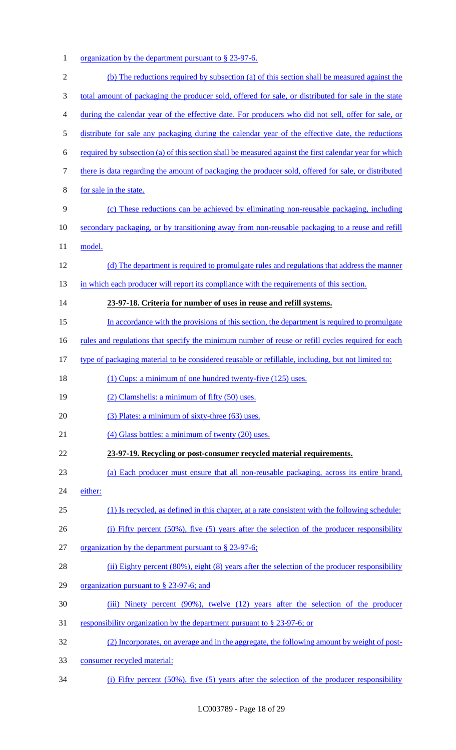1 organization by the department pursuant to § 23-97-6.

| $\overline{2}$ | (b) The reductions required by subsection (a) of this section shall be measured against the              |
|----------------|----------------------------------------------------------------------------------------------------------|
| 3              | total amount of packaging the producer sold, offered for sale, or distributed for sale in the state      |
| 4              | during the calendar year of the effective date. For producers who did not sell, offer for sale, or       |
| 5              | distribute for sale any packaging during the calendar year of the effective date, the reductions         |
| 6              | required by subsection (a) of this section shall be measured against the first calendar year for which   |
| 7              | there is data regarding the amount of packaging the producer sold, offered for sale, or distributed      |
| 8              | for sale in the state.                                                                                   |
| 9              | (c) These reductions can be achieved by eliminating non-reusable packaging, including                    |
| 10             | secondary packaging, or by transitioning away from non-reusable packaging to a reuse and refill          |
| 11             | model.                                                                                                   |
| 12             | (d) The department is required to promulgate rules and regulations that address the manner               |
| 13             | in which each producer will report its compliance with the requirements of this section.                 |
| 14             | 23-97-18. Criteria for number of uses in reuse and refill systems.                                       |
| 15             | In accordance with the provisions of this section, the department is required to promulgate              |
| 16             | <u>rules and regulations that specify the minimum number of reuse or refill cycles required for each</u> |
| 17             | type of packaging material to be considered reusable or refillable, including, but not limited to:       |
| 18             | (1) Cups: a minimum of one hundred twenty-five (125) uses.                                               |
| 19             | (2) Clamshells: a minimum of fifty (50) uses.                                                            |
| 20             | (3) Plates: a minimum of sixty-three (63) uses.                                                          |
| 21             | $(4)$ Glass bottles: a minimum of twenty $(20)$ uses.                                                    |
| 22             | 23-97-19. Recycling or post-consumer recycled material requirements.                                     |
| 23             | (a) Each producer must ensure that all non-reusable packaging, across its entire brand,                  |
| 24             | either:                                                                                                  |
| 25             | (1) Is recycled, as defined in this chapter, at a rate consistent with the following schedule:           |
| 26             | (i) Fifty percent $(50\%)$ , five $(5)$ years after the selection of the producer responsibility         |
| 27             | organization by the department pursuant to § 23-97-6;                                                    |
| 28             | (ii) Eighty percent $(80\%)$ , eight $(8)$ years after the selection of the producer responsibility      |
| 29             | organization pursuant to $\S$ 23-97-6; and                                                               |
| 30             | (iii) Ninety percent (90%), twelve (12) years after the selection of the producer                        |
| 31             | responsibility organization by the department pursuant to § 23-97-6; or                                  |
| 32             | (2) Incorporates, on average and in the aggregate, the following amount by weight of post-               |
| 33             | consumer recycled material:                                                                              |

(i) Fifty percent (50%), five (5) years after the selection of the producer responsibility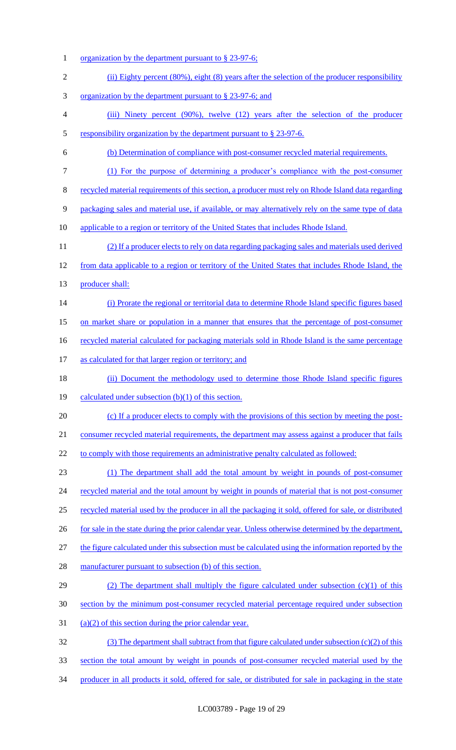1 organization by the department pursuant to § 23-97-6; (ii) Eighty percent (80%), eight (8) years after the selection of the producer responsibility organization by the department pursuant to § 23-97-6; and (iii) Ninety percent (90%), twelve (12) years after the selection of the producer 5 responsibility organization by the department pursuant to § 23-97-6. (b) Determination of compliance with post-consumer recycled material requirements. (1) For the purpose of determining a producer's compliance with the post-consumer recycled material requirements of this section, a producer must rely on Rhode Island data regarding packaging sales and material use, if available, or may alternatively rely on the same type of data applicable to a region or territory of the United States that includes Rhode Island. (2) If a producer elects to rely on data regarding packaging sales and materials used derived from data applicable to a region or territory of the United States that includes Rhode Island, the 13 producer shall: (i) Prorate the regional or territorial data to determine Rhode Island specific figures based on market share or population in a manner that ensures that the percentage of post-consumer 16 recycled material calculated for packaging materials sold in Rhode Island is the same percentage as calculated for that larger region or territory; and (ii) Document the methodology used to determine those Rhode Island specific figures 19 calculated under subsection (b)(1) of this section. (c) If a producer elects to comply with the provisions of this section by meeting the post-21 consumer recycled material requirements, the department may assess against a producer that fails 22 to comply with those requirements an administrative penalty calculated as followed: (1) The department shall add the total amount by weight in pounds of post-consumer 24 recycled material and the total amount by weight in pounds of material that is not post-consumer recycled material used by the producer in all the packaging it sold, offered for sale, or distributed 26 for sale in the state during the prior calendar year. Unless otherwise determined by the department, 27 the figure calculated under this subsection must be calculated using the information reported by the 28 manufacturer pursuant to subsection (b) of this section. 29 (2) The department shall multiply the figure calculated under subsection (c)(1) of this section by the minimum post-consumer recycled material percentage required under subsection 31 (a)(2) of this section during the prior calendar year. (3) The department shall subtract from that figure calculated under subsection (c)(2) of this section the total amount by weight in pounds of post-consumer recycled material used by the producer in all products it sold, offered for sale, or distributed for sale in packaging in the state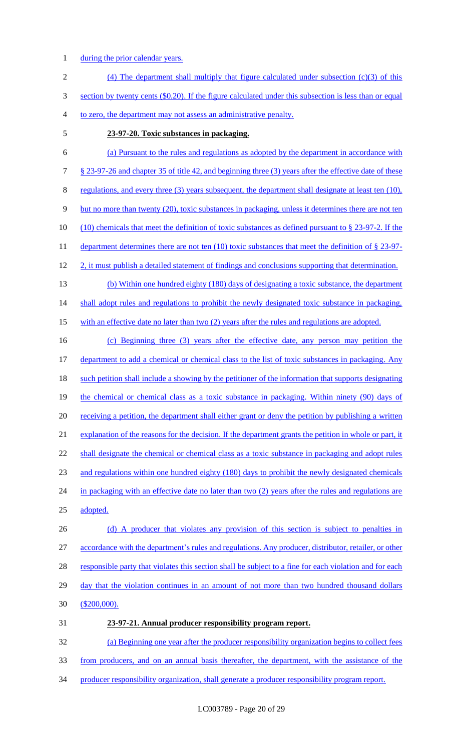- 1 during the prior calendar years.
- 2 (4) The department shall multiply that figure calculated under subsection (c)(3) of this 3 section by twenty cents (\$0.20). If the figure calculated under this subsection is less than or equal 4 to zero, the department may not assess an administrative penalty.
- 5 **23-97-20. Toxic substances in packaging.**

# 6 (a) Pursuant to the rules and regulations as adopted by the department in accordance with 7 § 23-97-26 and chapter 35 of title 42, and beginning three (3) years after the effective date of these 8 regulations, and every three (3) years subsequent, the department shall designate at least ten (10), 9 but no more than twenty (20), toxic substances in packaging, unless it determines there are not ten 10 (10) chemicals that meet the definition of toxic substances as defined pursuant to § 23-97-2. If the 11 department determines there are not ten (10) toxic substances that meet the definition of § 23-97-12 2, it must publish a detailed statement of findings and conclusions supporting that determination.

13 (b) Within one hundred eighty (180) days of designating a toxic substance, the department

14 shall adopt rules and regulations to prohibit the newly designated toxic substance in packaging,

15 with an effective date no later than two (2) years after the rules and regulations are adopted.

16 (c) Beginning three (3) years after the effective date, any person may petition the 17 department to add a chemical or chemical class to the list of toxic substances in packaging. Any 18 such petition shall include a showing by the petitioner of the information that supports designating 19 the chemical or chemical class as a toxic substance in packaging. Within ninety (90) days of 20 receiving a petition, the department shall either grant or deny the petition by publishing a written 21 explanation of the reasons for the decision. If the department grants the petition in whole or part, it 22 shall designate the chemical or chemical class as a toxic substance in packaging and adopt rules 23 and regulations within one hundred eighty (180) days to prohibit the newly designated chemicals 24 in packaging with an effective date no later than two (2) years after the rules and regulations are 25 adopted.

26 (d) A producer that violates any provision of this section is subject to penalties in 27 accordance with the department's rules and regulations. Any producer, distributor, retailer, or other 28 responsible party that violates this section shall be subject to a fine for each violation and for each 29 day that the violation continues in an amount of not more than two hundred thousand dollars 30 (\$200,000).

31 **23-97-21. Annual producer responsibility program report.** 

32 (a) Beginning one year after the producer responsibility organization begins to collect fees 33 from producers, and on an annual basis thereafter, the department, with the assistance of the 34 producer responsibility organization, shall generate a producer responsibility program report.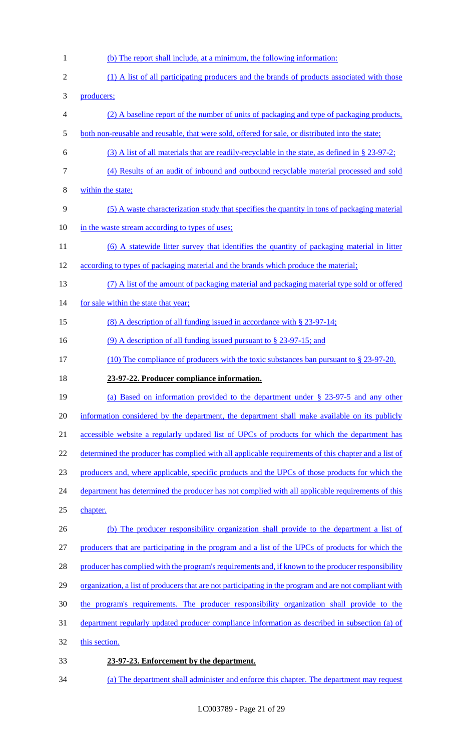(b) The report shall include, at a minimum, the following information: 2 (1) A list of all participating producers and the brands of products associated with those producers; (2) A baseline report of the number of units of packaging and type of packaging products, both non-reusable and reusable, that were sold, offered for sale, or distributed into the state; (3) A list of all materials that are readily-recyclable in the state, as defined in § 23-97-2; (4) Results of an audit of inbound and outbound recyclable material processed and sold within the state; (5) A waste characterization study that specifies the quantity in tons of packaging material 10 in the waste stream according to types of uses; 11 (6) A statewide litter survey that identifies the quantity of packaging material in litter according to types of packaging material and the brands which produce the material; (7) A list of the amount of packaging material and packaging material type sold or offered 14 for sale within the state that year; 15 (8) A description of all funding issued in accordance with § 23-97-14; 16 (9) A description of all funding issued pursuant to § 23-97-15; and (10) The compliance of producers with the toxic substances ban pursuant to § 23-97-20. **23-97-22. Producer compliance information.**  (a) Based on information provided to the department under § 23-97-5 and any other 20 information considered by the department, the department shall make available on its publicly accessible website a regularly updated list of UPCs of products for which the department has 22 determined the producer has complied with all applicable requirements of this chapter and a list of producers and, where applicable, specific products and the UPCs of those products for which the 24 department has determined the producer has not complied with all applicable requirements of this chapter. (b) The producer responsibility organization shall provide to the department a list of producers that are participating in the program and a list of the UPCs of products for which the 28 producer has complied with the program's requirements and, if known to the producer responsibility 29 organization, a list of producers that are not participating in the program and are not compliant with the program's requirements. The producer responsibility organization shall provide to the department regularly updated producer compliance information as described in subsection (a) of 32 this section. **23-97-23. Enforcement by the department.**  (a) The department shall administer and enforce this chapter. The department may request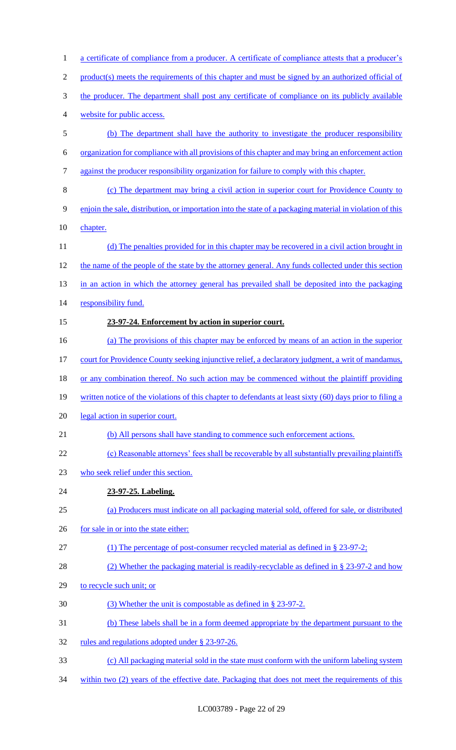| 1              | a certificate of compliance from a producer. A certificate of compliance attests that a producer's        |
|----------------|-----------------------------------------------------------------------------------------------------------|
| $\overline{2}$ | product(s) meets the requirements of this chapter and must be signed by an authorized official of         |
| 3              | the producer. The department shall post any certificate of compliance on its publicly available           |
| 4              | website for public access.                                                                                |
| 5              | (b) The department shall have the authority to investigate the producer responsibility                    |
| 6              | organization for compliance with all provisions of this chapter and may bring an enforcement action       |
| $\tau$         | against the producer responsibility organization for failure to comply with this chapter.                 |
| 8              | (c) The department may bring a civil action in superior court for Providence County to                    |
| 9              | enjoin the sale, distribution, or importation into the state of a packaging material in violation of this |
| 10             | chapter.                                                                                                  |
| 11             | (d) The penalties provided for in this chapter may be recovered in a civil action brought in              |
| 12             | the name of the people of the state by the attorney general. Any funds collected under this section       |
| 13             | in an action in which the attorney general has prevailed shall be deposited into the packaging            |
| 14             | responsibility fund.                                                                                      |
| 15             | 23-97-24. Enforcement by action in superior court.                                                        |
| 16             | (a) The provisions of this chapter may be enforced by means of an action in the superior                  |
| 17             | court for Providence County seeking injunctive relief, a declaratory judgment, a writ of mandamus,        |
| 18             | or any combination thereof. No such action may be commenced without the plaintiff providing               |
| 19             | written notice of the violations of this chapter to defendants at least sixty (60) days prior to filing a |
| 20             | legal action in superior court.                                                                           |
| 21             | (b) All persons shall have standing to commence such enforcement actions.                                 |
| 22             | (c) Reasonable attorneys' fees shall be recoverable by all substantially prevailing plaintiffs            |
| 23             | who seek relief under this section.                                                                       |
| 24             | 23-97-25. Labeling.                                                                                       |
| 25             | (a) Producers must indicate on all packaging material sold, offered for sale, or distributed              |
| 26             | for sale in or into the state either:                                                                     |
| 27             | (1) The percentage of post-consumer recycled material as defined in $\S 23-97-2$ ;                        |
| 28             | (2) Whether the packaging material is readily-recyclable as defined in $\S$ 23-97-2 and how               |
| 29             | to recycle such unit; or                                                                                  |
| 30             | (3) Whether the unit is compostable as defined in § 23-97-2.                                              |
| 31             | (b) These labels shall be in a form deemed appropriate by the department pursuant to the                  |
| 32             | rules and regulations adopted under § 23-97-26.                                                           |
| 33             | (c) All packaging material sold in the state must conform with the uniform labeling system                |
| 34             | within two (2) years of the effective date. Packaging that does not meet the requirements of this         |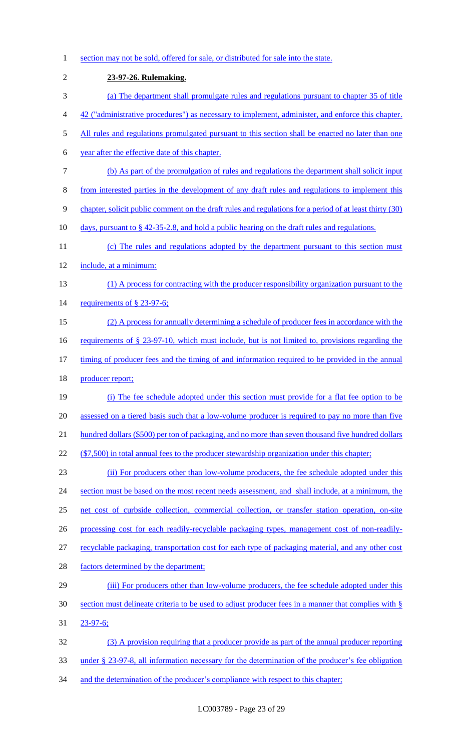1 section may not be sold, offered for sale, or distributed for sale into the state. 2 **23-97-26. Rulemaking.**  3 (a) The department shall promulgate rules and regulations pursuant to chapter 35 of title 4 42 ("administrative procedures") as necessary to implement, administer, and enforce this chapter. 5 All rules and regulations promulgated pursuant to this section shall be enacted no later than one 6 year after the effective date of this chapter. 7 (b) As part of the promulgation of rules and regulations the department shall solicit input 8 from interested parties in the development of any draft rules and regulations to implement this 9 chapter, solicit public comment on the draft rules and regulations for a period of at least thirty (30) 10 days, pursuant to § 42-35-2.8, and hold a public hearing on the draft rules and regulations. 11 (c) The rules and regulations adopted by the department pursuant to this section must 12 include, at a minimum: 13 (1) A process for contracting with the producer responsibility organization pursuant to the 14 requirements of § 23-97-6; 15 (2) A process for annually determining a schedule of producer fees in accordance with the 16 requirements of § 23-97-10, which must include, but is not limited to, provisions regarding the 17 timing of producer fees and the timing of and information required to be provided in the annual 18 producer report; 19 (i) The fee schedule adopted under this section must provide for a flat fee option to be 20 assessed on a tiered basis such that a low-volume producer is required to pay no more than five 21 hundred dollars (\$500) per ton of packaging, and no more than seven thousand five hundred dollars 22 (\$7,500) in total annual fees to the producer stewardship organization under this chapter; 23 (ii) For producers other than low-volume producers, the fee schedule adopted under this 24 section must be based on the most recent needs assessment, and shall include, at a minimum, the 25 net cost of curbside collection, commercial collection, or transfer station operation, on-site 26 processing cost for each readily-recyclable packaging types, management cost of non-readily-27 recyclable packaging, transportation cost for each type of packaging material, and any other cost 28 factors determined by the department; 29 (iii) For producers other than low-volume producers, the fee schedule adopted under this 30 section must delineate criteria to be used to adjust producer fees in a manner that complies with § 31 23-97-6; 32 (3) A provision requiring that a producer provide as part of the annual producer reporting 33 under § 23-97-8, all information necessary for the determination of the producer's fee obligation 34 and the determination of the producer's compliance with respect to this chapter;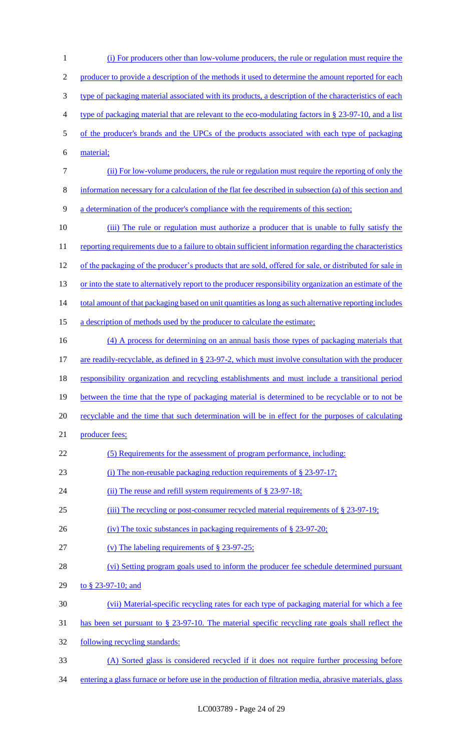1 (i) For producers other than low-volume producers, the rule or regulation must require the 2 producer to provide a description of the methods it used to determine the amount reported for each 3 type of packaging material associated with its products, a description of the characteristics of each 4 type of packaging material that are relevant to the eco-modulating factors in § 23-97-10, and a list 5 of the producer's brands and the UPCs of the products associated with each type of packaging 6 material; 7 (ii) For low-volume producers, the rule or regulation must require the reporting of only the 8 information necessary for a calculation of the flat fee described in subsection (a) of this section and 9 a determination of the producer's compliance with the requirements of this section; 10 (iii) The rule or regulation must authorize a producer that is unable to fully satisfy the 11 reporting requirements due to a failure to obtain sufficient information regarding the characteristics 12 of the packaging of the producer's products that are sold, offered for sale, or distributed for sale in 13 or into the state to alternatively report to the producer responsibility organization an estimate of the 14 total amount of that packaging based on unit quantities as long as such alternative reporting includes 15 a description of methods used by the producer to calculate the estimate; 16 (4) A process for determining on an annual basis those types of packaging materials that 17 are readily-recyclable, as defined in § 23-97-2, which must involve consultation with the producer 18 responsibility organization and recycling establishments and must include a transitional period 19 between the time that the type of packaging material is determined to be recyclable or to not be 20 recyclable and the time that such determination will be in effect for the purposes of calculating 21 producer fees; 22 (5) Requirements for the assessment of program performance, including: 23 (i) The non-reusable packaging reduction requirements of § 23-97-17; 24 (ii) The reuse and refill system requirements of § 23-97-18; 25 (iii) The recycling or post-consumer recycled material requirements of § 23-97-19; 26 (iv) The toxic substances in packaging requirements of § 23-97-20; 27 (v) The labeling requirements of § 23-97-25; 28 (vi) Setting program goals used to inform the producer fee schedule determined pursuant 29 to § 23-97-10; and 30 (vii) Material-specific recycling rates for each type of packaging material for which a fee 31 has been set pursuant to § 23-97-10. The material specific recycling rate goals shall reflect the 32 following recycling standards: 33 (A) Sorted glass is considered recycled if it does not require further processing before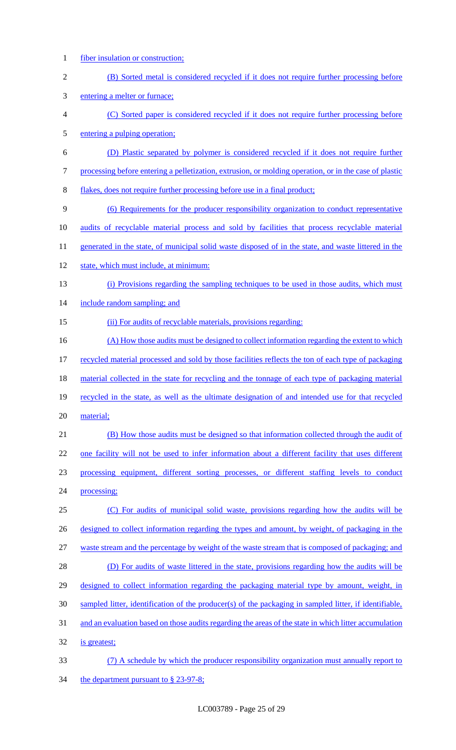- fiber insulation or construction;
- (B) Sorted metal is considered recycled if it does not require further processing before
- entering a melter or furnace;
- (C) Sorted paper is considered recycled if it does not require further processing before entering a pulping operation;
- (D) Plastic separated by polymer is considered recycled if it does not require further
- processing before entering a pelletization, extrusion, or molding operation, or in the case of plastic
- flakes, does not require further processing before use in a final product;
- (6) Requirements for the producer responsibility organization to conduct representative
- audits of recyclable material process and sold by facilities that process recyclable material
- 11 generated in the state, of municipal solid waste disposed of in the state, and waste littered in the
- 12 state, which must include, at minimum:
- (i) Provisions regarding the sampling techniques to be used in those audits, which must
- 14 include random sampling; and
- 15 (ii) For audits of recyclable materials, provisions regarding:
- 16 (A) How those audits must be designed to collect information regarding the extent to which recycled material processed and sold by those facilities reflects the ton of each type of packaging 18 material collected in the state for recycling and the tonnage of each type of packaging material recycled in the state, as well as the ultimate designation of and intended use for that recycled
- material;
- (B) How those audits must be designed so that information collected through the audit of one facility will not be used to infer information about a different facility that uses different processing equipment, different sorting processes, or different staffing levels to conduct processing;
- (C) For audits of municipal solid waste, provisions regarding how the audits will be 26 designed to collect information regarding the types and amount, by weight, of packaging in the waste stream and the percentage by weight of the waste stream that is composed of packaging; and (D) For audits of waste littered in the state, provisions regarding how the audits will be 29 designed to collect information regarding the packaging material type by amount, weight, in sampled litter, identification of the producer(s) of the packaging in sampled litter, if identifiable,
- and an evaluation based on those audits regarding the areas of the state in which litter accumulation
- is greatest;
- (7) A schedule by which the producer responsibility organization must annually report to 34 the department pursuant to § 23-97-8;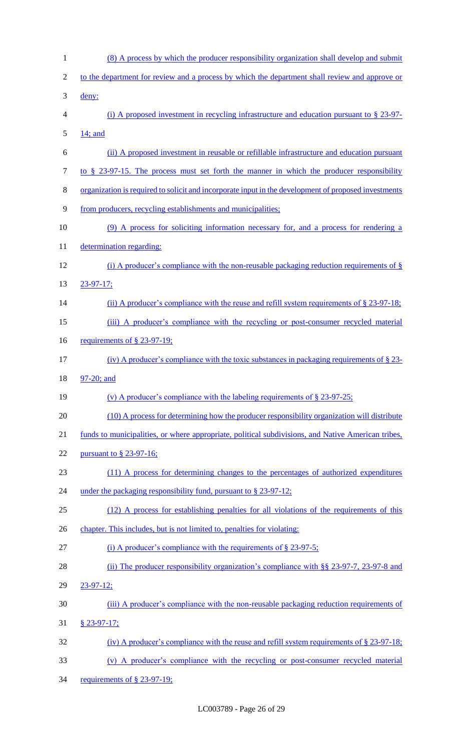| $\mathbf{1}$   | (8) A process by which the producer responsibility organization shall develop and submit             |
|----------------|------------------------------------------------------------------------------------------------------|
| $\overline{2}$ | to the department for review and a process by which the department shall review and approve or       |
| 3              | deny:                                                                                                |
| $\overline{4}$ | (i) A proposed investment in recycling infrastructure and education pursuant to $\S$ 23-97-          |
| 5              | 14; and                                                                                              |
| 6              | (ii) A proposed investment in reusable or refillable infrastructure and education pursuant           |
| $\overline{7}$ | to $\S$ 23-97-15. The process must set forth the manner in which the producer responsibility         |
| $8\,$          | organization is required to solicit and incorporate input in the development of proposed investments |
| 9              | from producers, recycling establishments and municipalities;                                         |
| 10             | (9) A process for soliciting information necessary for, and a process for rendering a                |
| 11             | determination regarding:                                                                             |
| 12             | (i) A producer's compliance with the non-reusable packaging reduction requirements of $\S$           |
| 13             | $23 - 97 - 17$ ;                                                                                     |
| 14             | (ii) A producer's compliance with the reuse and refill system requirements of $\S$ 23-97-18;         |
| 15             | (iii) A producer's compliance with the recycling or post-consumer recycled material                  |
| 16             | requirements of $\S$ 23-97-19;                                                                       |
| 17             | (iv) A producer's compliance with the toxic substances in packaging requirements of $\S$ 23-         |
| 18             | 97-20; and                                                                                           |
|                |                                                                                                      |
| 19             | (v) A producer's compliance with the labeling requirements of $\S$ 23-97-25;                         |
| 20             | (10) A process for determining how the producer responsibility organization will distribute          |
| 21             | funds to municipalities, or where appropriate, political subdivisions, and Native American tribes,   |
| 22             | pursuant to $\S$ 23-97-16;                                                                           |
| 23             | (11) A process for determining changes to the percentages of authorized expenditures                 |
| 24             | under the packaging responsibility fund, pursuant to $\S 23-97-12$ ;                                 |
| 25             | (12) A process for establishing penalties for all violations of the requirements of this             |
| 26             | chapter. This includes, but is not limited to, penalties for violating:                              |
| 27             | (i) A producer's compliance with the requirements of $\S$ 23-97-5;                                   |
| 28             | (ii) The producer responsibility organization's compliance with $\S$ 23-97-7, 23-97-8 and            |
| 29             | $23 - 97 - 12$ ;                                                                                     |
| 30             | (iii) A producer's compliance with the non-reusable packaging reduction requirements of              |
| 31             | $§$ 23-97-17;                                                                                        |
| 32             | (iv) A producer's compliance with the reuse and refill system requirements of $\S$ 23-97-18;         |
| 33             | (v) A producer's compliance with the recycling or post-consumer recycled material                    |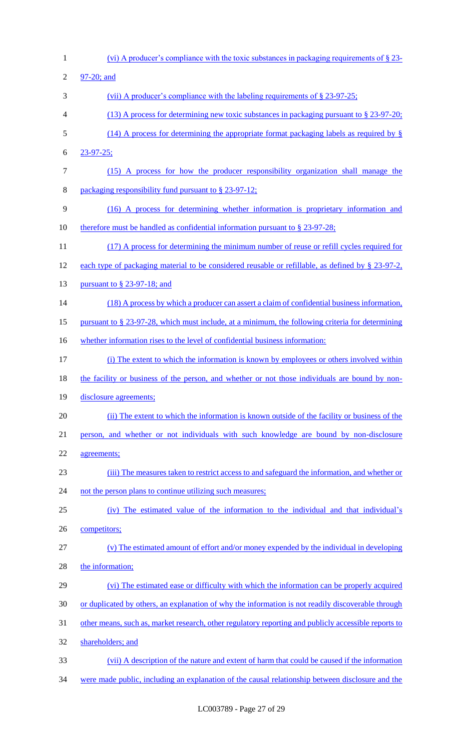(vi) A producer's compliance with the toxic substances in packaging requirements of § 23- 97-20; and 3 (vii) A producer's compliance with the labeling requirements of § 23-97-25; (13) A process for determining new toxic substances in packaging pursuant to § 23-97-20; (14) A process for determining the appropriate format packaging labels as required by § 23-97-25; (15) A process for how the producer responsibility organization shall manage the packaging responsibility fund pursuant to § 23-97-12; (16) A process for determining whether information is proprietary information and 10 therefore must be handled as confidential information pursuant to § 23-97-28; 11 (17) A process for determining the minimum number of reuse or refill cycles required for each type of packaging material to be considered reusable or refillable, as defined by § 23-97-2, 13 <u>pursuant to § 23-97-18; and</u> 14 (18) A process by which a producer can assert a claim of confidential business information, pursuant to § 23-97-28, which must include, at a minimum, the following criteria for determining 16 whether information rises to the level of confidential business information: (i) The extent to which the information is known by employees or others involved within 18 the facility or business of the person, and whether or not those individuals are bound by non-19 disclosure agreements; (ii) The extent to which the information is known outside of the facility or business of the person, and whether or not individuals with such knowledge are bound by non-disclosure agreements; (iii) The measures taken to restrict access to and safeguard the information, and whether or 24 not the person plans to continue utilizing such measures; (iv) The estimated value of the information to the individual and that individual's competitors; (v) The estimated amount of effort and/or money expended by the individual in developing 28 the information; (vi) The estimated ease or difficulty with which the information can be properly acquired or duplicated by others, an explanation of why the information is not readily discoverable through other means, such as, market research, other regulatory reporting and publicly accessible reports to shareholders; and (vii) A description of the nature and extent of harm that could be caused if the information were made public, including an explanation of the causal relationship between disclosure and the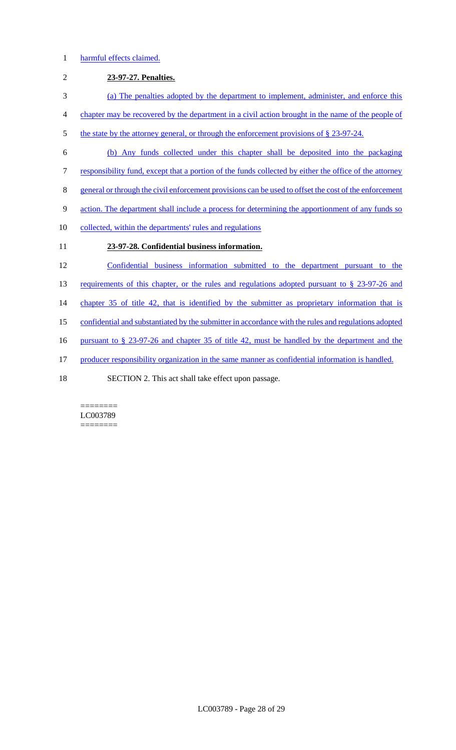### 1 harmful effects claimed.

# 2 **23-97-27. Penalties.**  3 (a) The penalties adopted by the department to implement, administer, and enforce this 4 chapter may be recovered by the department in a civil action brought in the name of the people of 5 the state by the attorney general, or through the enforcement provisions of § 23-97-24. 6 (b) Any funds collected under this chapter shall be deposited into the packaging 7 responsibility fund, except that a portion of the funds collected by either the office of the attorney 8 general or through the civil enforcement provisions can be used to offset the cost of the enforcement 9 action. The department shall include a process for determining the apportionment of any funds so 10 collected, within the departments' rules and regulations 11 **23-97-28. Confidential business information.**  12 Confidential business information submitted to the department pursuant to the 13 requirements of this chapter, or the rules and regulations adopted pursuant to § 23-97-26 and 14 chapter 35 of title 42, that is identified by the submitter as proprietary information that is 15 confidential and substantiated by the submitter in accordance with the rules and regulations adopted 16 pursuant to § 23-97-26 and chapter 35 of title 42, must be handled by the department and the 17 producer responsibility organization in the same manner as confidential information is handled. 18 SECTION 2. This act shall take effect upon passage.

======== LC003789 ========